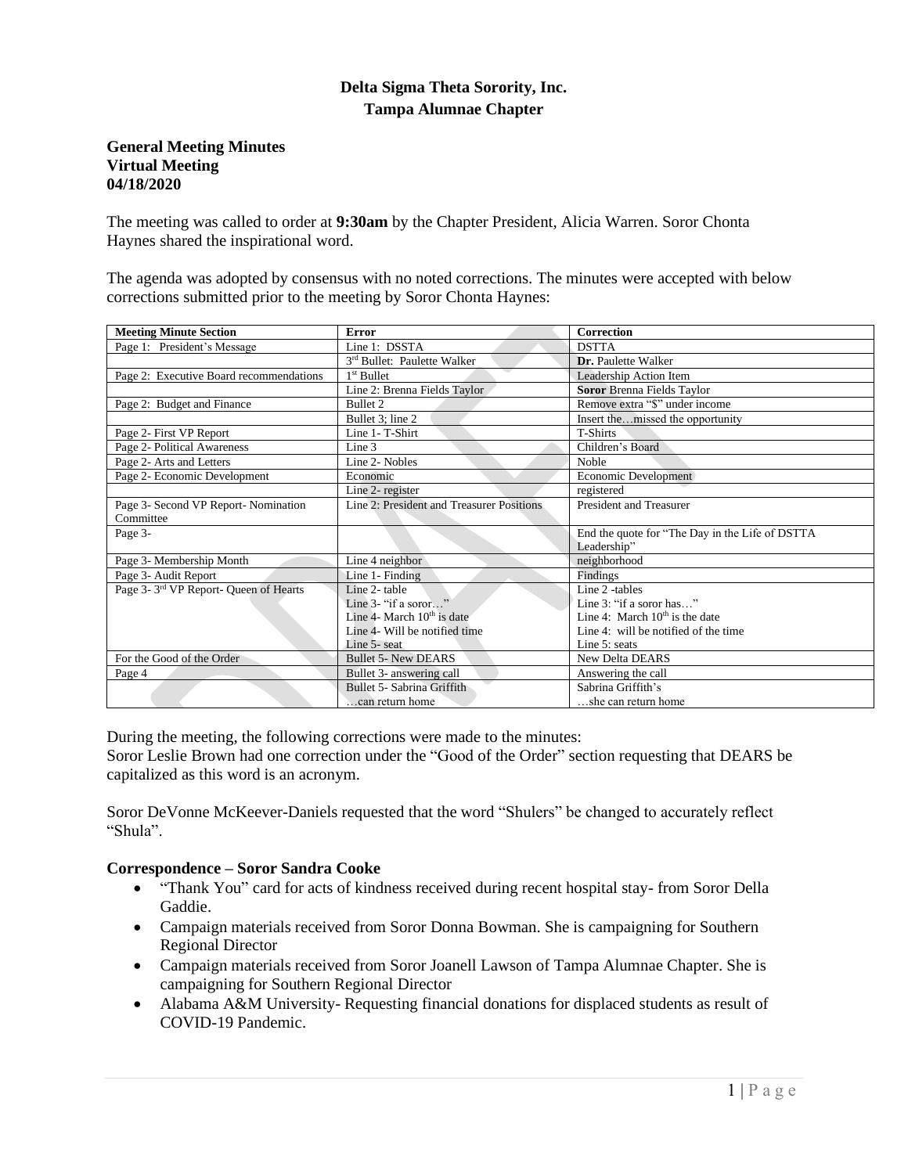## **Delta Sigma Theta Sorority, Inc. Tampa Alumnae Chapter**

#### **General Meeting Minutes Virtual Meeting 04/18/2020**

The meeting was called to order at **9:30am** by the Chapter President, Alicia Warren. Soror Chonta Haynes shared the inspirational word.

The agenda was adopted by consensus with no noted corrections. The minutes were accepted with below corrections submitted prior to the meeting by Soror Chonta Haynes:

| <b>Meeting Minute Section</b>                     | Error                                     | Correction                                       |
|---------------------------------------------------|-------------------------------------------|--------------------------------------------------|
| Page 1: President's Message                       | Line 1: DSSTA                             | <b>DSTTA</b>                                     |
|                                                   | 3rd Bullet: Paulette Walker               | Dr. Paulette Walker                              |
| Page 2: Executive Board recommendations           | $1st$ Bullet                              | Leadership Action Item                           |
|                                                   | Line 2: Brenna Fields Taylor              | <b>Soror Brenna Fields Taylor</b>                |
| Page 2: Budget and Finance                        | Bullet 2                                  | Remove extra "\$" under income                   |
|                                                   | Bullet 3; line 2                          | Insert themissed the opportunity                 |
| Page 2- First VP Report                           | Line 1- T-Shirt                           | <b>T-Shirts</b>                                  |
| Page 2- Political Awareness                       | Line 3                                    | Children's Board                                 |
| Page 2- Arts and Letters                          | Line 2- Nobles                            | Noble                                            |
| Page 2- Economic Development                      | Economic                                  | Economic Development                             |
|                                                   | Line 2- register                          | registered                                       |
| Page 3- Second VP Report- Nomination              | Line 2: President and Treasurer Positions | <b>President and Treasurer</b>                   |
| Committee                                         |                                           |                                                  |
| Page 3-                                           |                                           | End the quote for "The Day in the Life of DSTTA" |
|                                                   |                                           | Leadership"                                      |
| Page 3- Membership Month                          | Line 4 neighbor                           | neighborhood                                     |
| Page 3- Audit Report                              | Line 1- Finding                           | Findings                                         |
| Page 3-3 <sup>rd</sup> VP Report- Queen of Hearts | Line 2- table                             | Line 2 -tables                                   |
|                                                   | Line $3$ - "if a soror"                   | Line 3: "if a soror has"                         |
|                                                   | Line 4- March $10th$ is date              | Line 4: March $10th$ is the date                 |
|                                                   | Line 4- Will be notified time             | Line 4: will be notified of the time             |
|                                                   | Line 5- seat                              | Line 5: seats                                    |
| For the Good of the Order                         | <b>Bullet 5- New DEARS</b>                | <b>New Delta DEARS</b>                           |
| Page 4                                            | Bullet 3- answering call                  | Answering the call                               |
|                                                   | Bullet 5- Sabrina Griffith                | Sabrina Griffith's                               |
|                                                   | can return home                           | she can return home                              |

During the meeting, the following corrections were made to the minutes:

Soror Leslie Brown had one correction under the "Good of the Order" section requesting that DEARS be capitalized as this word is an acronym.

Soror DeVonne McKeever-Daniels requested that the word "Shulers" be changed to accurately reflect "Shula".

#### **Correspondence – Soror Sandra Cooke**

- "Thank You" card for acts of kindness received during recent hospital stay- from Soror Della Gaddie.
- Campaign materials received from Soror Donna Bowman. She is campaigning for Southern Regional Director
- Campaign materials received from Soror Joanell Lawson of Tampa Alumnae Chapter. She is campaigning for Southern Regional Director
- Alabama A&M University- Requesting financial donations for displaced students as result of COVID-19 Pandemic.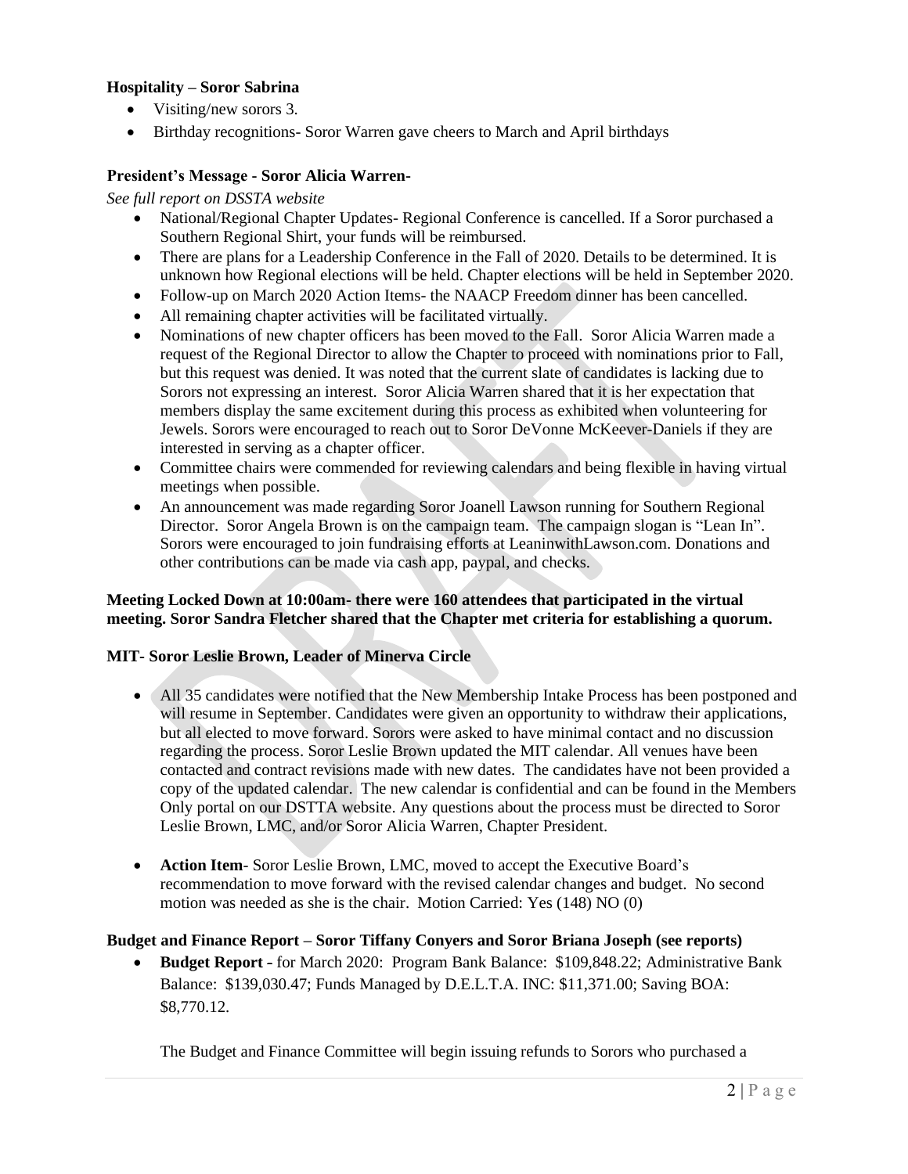## **Hospitality – Soror Sabrina**

- Visiting/new sorors 3.
- Birthday recognitions- Soror Warren gave cheers to March and April birthdays

## **President's Message - Soror Alicia Warren-**

#### *See full report on DSSTA website*

- National/Regional Chapter Updates- Regional Conference is cancelled. If a Soror purchased a Southern Regional Shirt, your funds will be reimbursed.
- There are plans for a Leadership Conference in the Fall of 2020. Details to be determined. It is unknown how Regional elections will be held. Chapter elections will be held in September 2020.
- Follow-up on March 2020 Action Items- the NAACP Freedom dinner has been cancelled.
- All remaining chapter activities will be facilitated virtually.
- Nominations of new chapter officers has been moved to the Fall. Soror Alicia Warren made a request of the Regional Director to allow the Chapter to proceed with nominations prior to Fall, but this request was denied. It was noted that the current slate of candidates is lacking due to Sorors not expressing an interest. Soror Alicia Warren shared that it is her expectation that members display the same excitement during this process as exhibited when volunteering for Jewels. Sorors were encouraged to reach out to Soror DeVonne McKeever-Daniels if they are interested in serving as a chapter officer.
- Committee chairs were commended for reviewing calendars and being flexible in having virtual meetings when possible.
- An announcement was made regarding Soror Joanell Lawson running for Southern Regional Director. Soror Angela Brown is on the campaign team. The campaign slogan is "Lean In". Sorors were encouraged to join fundraising efforts at LeaninwithLawson.com. Donations and other contributions can be made via cash app, paypal, and checks.

## **Meeting Locked Down at 10:00am- there were 160 attendees that participated in the virtual meeting. Soror Sandra Fletcher shared that the Chapter met criteria for establishing a quorum.**

#### **MIT- Soror Leslie Brown, Leader of Minerva Circle**

- All 35 candidates were notified that the New Membership Intake Process has been postponed and will resume in September. Candidates were given an opportunity to withdraw their applications, but all elected to move forward. Sorors were asked to have minimal contact and no discussion regarding the process. Soror Leslie Brown updated the MIT calendar. All venues have been contacted and contract revisions made with new dates. The candidates have not been provided a copy of the updated calendar. The new calendar is confidential and can be found in the Members Only portal on our DSTTA website. Any questions about the process must be directed to Soror Leslie Brown, LMC, and/or Soror Alicia Warren, Chapter President.
- **Action Item** Soror Leslie Brown, LMC, moved to accept the Executive Board's recommendation to move forward with the revised calendar changes and budget. No second motion was needed as she is the chair. Motion Carried: Yes (148) NO (0)

## **Budget and Finance Report – Soror Tiffany Conyers and Soror Briana Joseph (see reports)**

• **Budget Report** - for March 2020: Program Bank Balance: \$109,848.22; Administrative Bank Balance: \$139,030.47; Funds Managed by D.E.L.T.A. INC: \$11,371.00; Saving BOA: \$8,770.12.

The Budget and Finance Committee will begin issuing refunds to Sorors who purchased a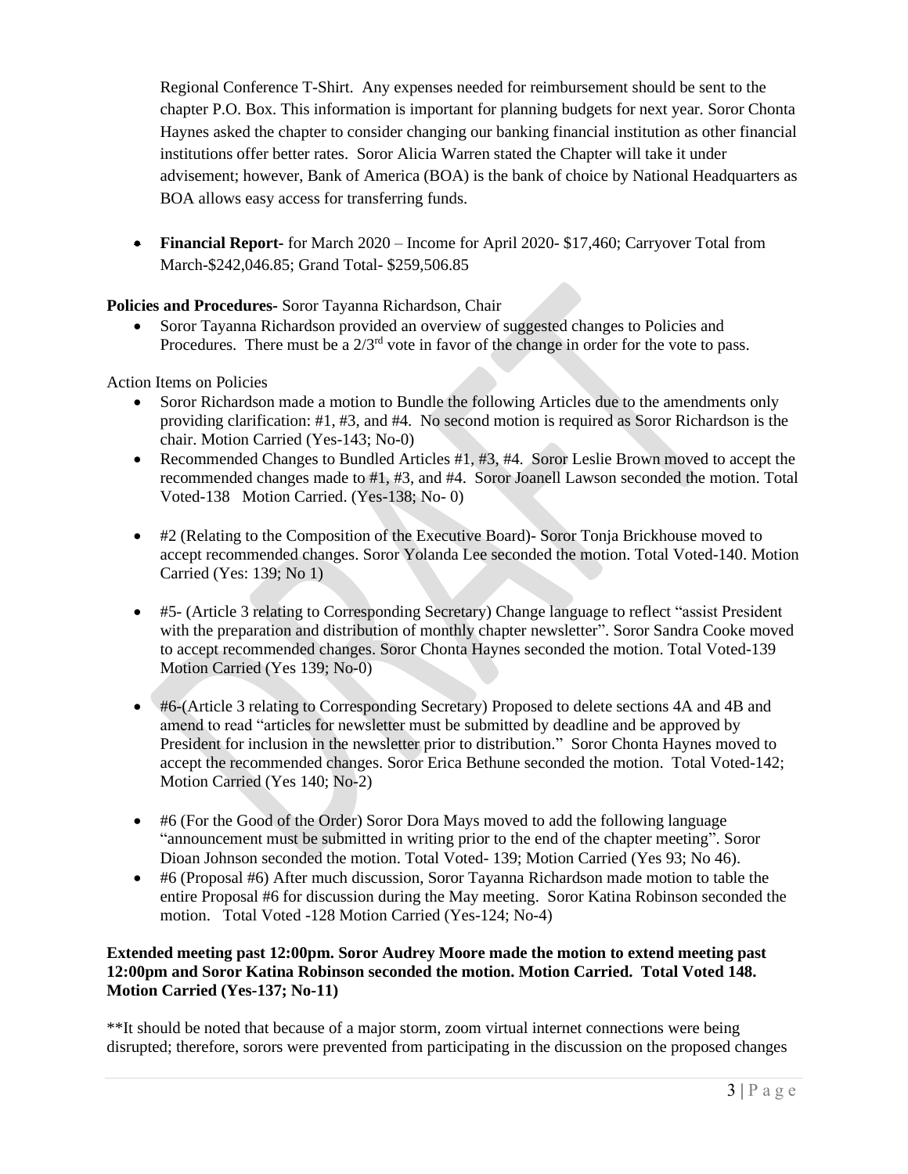Regional Conference T-Shirt. Any expenses needed for reimbursement should be sent to the chapter P.O. Box. This information is important for planning budgets for next year. Soror Chonta Haynes asked the chapter to consider changing our banking financial institution as other financial institutions offer better rates. Soror Alicia Warren stated the Chapter will take it under advisement; however, Bank of America (BOA) is the bank of choice by National Headquarters as BOA allows easy access for transferring funds.

• **Financial Report-** for March 2020 – Income for April 2020- \$17,460; Carryover Total from March-\$242,046.85; Grand Total- \$259,506.85

**Policies and Procedures-** Soror Tayanna Richardson, Chair

• Soror Tayanna Richardson provided an overview of suggested changes to Policies and Procedures. There must be a  $2/3<sup>rd</sup>$  vote in favor of the change in order for the vote to pass.

Action Items on Policies

- Soror Richardson made a motion to Bundle the following Articles due to the amendments only providing clarification: #1, #3, and #4. No second motion is required as Soror Richardson is the chair. Motion Carried (Yes-143; No-0)
- Recommended Changes to Bundled Articles #1, #3, #4. Soror Leslie Brown moved to accept the recommended changes made to #1, #3, and #4. Soror Joanell Lawson seconded the motion. Total Voted-138 Motion Carried. (Yes-138; No- 0)
- #2 (Relating to the Composition of the Executive Board) Soror Tonja Brickhouse moved to accept recommended changes. Soror Yolanda Lee seconded the motion. Total Voted-140. Motion Carried (Yes: 139; No 1)
- #5- (Article 3 relating to Corresponding Secretary) Change language to reflect "assist President with the preparation and distribution of monthly chapter newsletter". Soror Sandra Cooke moved to accept recommended changes. Soror Chonta Haynes seconded the motion. Total Voted-139 Motion Carried (Yes 139; No-0)
- #6-(Article 3 relating to Corresponding Secretary) Proposed to delete sections 4A and 4B and amend to read "articles for newsletter must be submitted by deadline and be approved by President for inclusion in the newsletter prior to distribution." Soror Chonta Haynes moved to accept the recommended changes. Soror Erica Bethune seconded the motion. Total Voted-142; Motion Carried (Yes 140; No-2)
- #6 (For the Good of the Order) Soror Dora Mays moved to add the following language "announcement must be submitted in writing prior to the end of the chapter meeting". Soror Dioan Johnson seconded the motion. Total Voted- 139; Motion Carried (Yes 93; No 46).
- #6 (Proposal #6) After much discussion, Soror Tayanna Richardson made motion to table the entire Proposal #6 for discussion during the May meeting. Soror Katina Robinson seconded the motion. Total Voted -128 Motion Carried (Yes-124; No-4)

## **Extended meeting past 12:00pm. Soror Audrey Moore made the motion to extend meeting past 12:00pm and Soror Katina Robinson seconded the motion. Motion Carried. Total Voted 148. Motion Carried (Yes-137; No-11)**

\*\*It should be noted that because of a major storm, zoom virtual internet connections were being disrupted; therefore, sorors were prevented from participating in the discussion on the proposed changes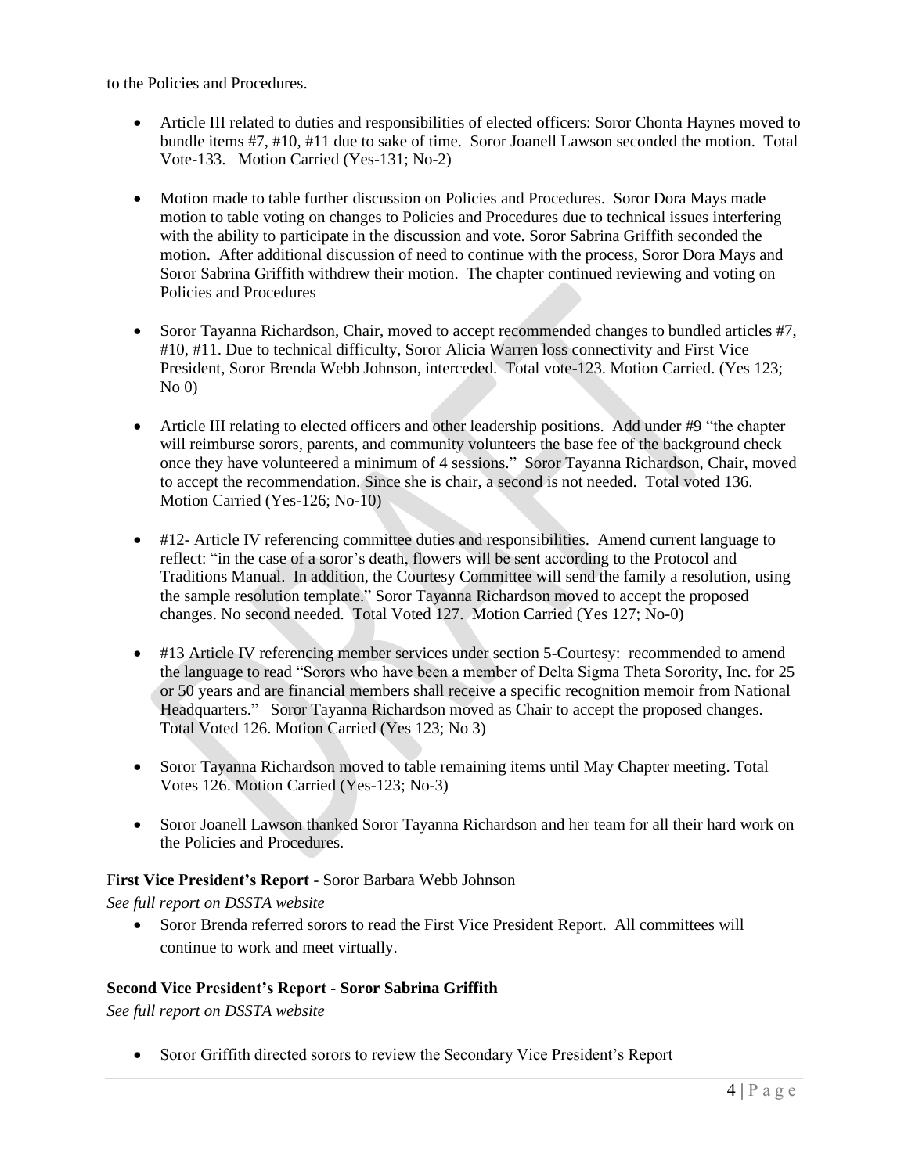to the Policies and Procedures.

- Article III related to duties and responsibilities of elected officers: Soror Chonta Haynes moved to bundle items #7, #10, #11 due to sake of time. Soror Joanell Lawson seconded the motion. Total Vote-133. Motion Carried (Yes-131; No-2)
- Motion made to table further discussion on Policies and Procedures. Soror Dora Mays made motion to table voting on changes to Policies and Procedures due to technical issues interfering with the ability to participate in the discussion and vote. Soror Sabrina Griffith seconded the motion. After additional discussion of need to continue with the process, Soror Dora Mays and Soror Sabrina Griffith withdrew their motion. The chapter continued reviewing and voting on Policies and Procedures
- Soror Tayanna Richardson, Chair, moved to accept recommended changes to bundled articles #7, #10, #11. Due to technical difficulty, Soror Alicia Warren loss connectivity and First Vice President, Soror Brenda Webb Johnson, interceded. Total vote-123. Motion Carried. (Yes 123;  $No$  $()$
- Article III relating to elected officers and other leadership positions. Add under #9 "the chapter" will reimburse sorors, parents, and community volunteers the base fee of the background check once they have volunteered a minimum of 4 sessions." Soror Tayanna Richardson, Chair, moved to accept the recommendation. Since she is chair, a second is not needed. Total voted 136. Motion Carried (Yes-126; No-10)
- #12- Article IV referencing committee duties and responsibilities. Amend current language to reflect: "in the case of a soror's death, flowers will be sent according to the Protocol and Traditions Manual. In addition, the Courtesy Committee will send the family a resolution, using the sample resolution template." Soror Tayanna Richardson moved to accept the proposed changes. No second needed. Total Voted 127. Motion Carried (Yes 127; No-0)
- #13 Article IV referencing member services under section 5-Courtesy: recommended to amend the language to read "Sorors who have been a member of Delta Sigma Theta Sorority, Inc. for 25 or 50 years and are financial members shall receive a specific recognition memoir from National Headquarters." Soror Tayanna Richardson moved as Chair to accept the proposed changes. Total Voted 126. Motion Carried (Yes 123; No 3)
- Soror Tayanna Richardson moved to table remaining items until May Chapter meeting. Total Votes 126. Motion Carried (Yes-123; No-3)
- Soror Joanell Lawson thanked Soror Tayanna Richardson and her team for all their hard work on the Policies and Procedures.

## Fi**rst Vice President's Report** - Soror Barbara Webb Johnson

*See full report on DSSTA website*

• Soror Brenda referred sorors to read the First Vice President Report. All committees will continue to work and meet virtually.

#### **Second Vice President's Report - Soror Sabrina Griffith**

*See full report on DSSTA website*

• Soror Griffith directed sorors to review the Secondary Vice President's Report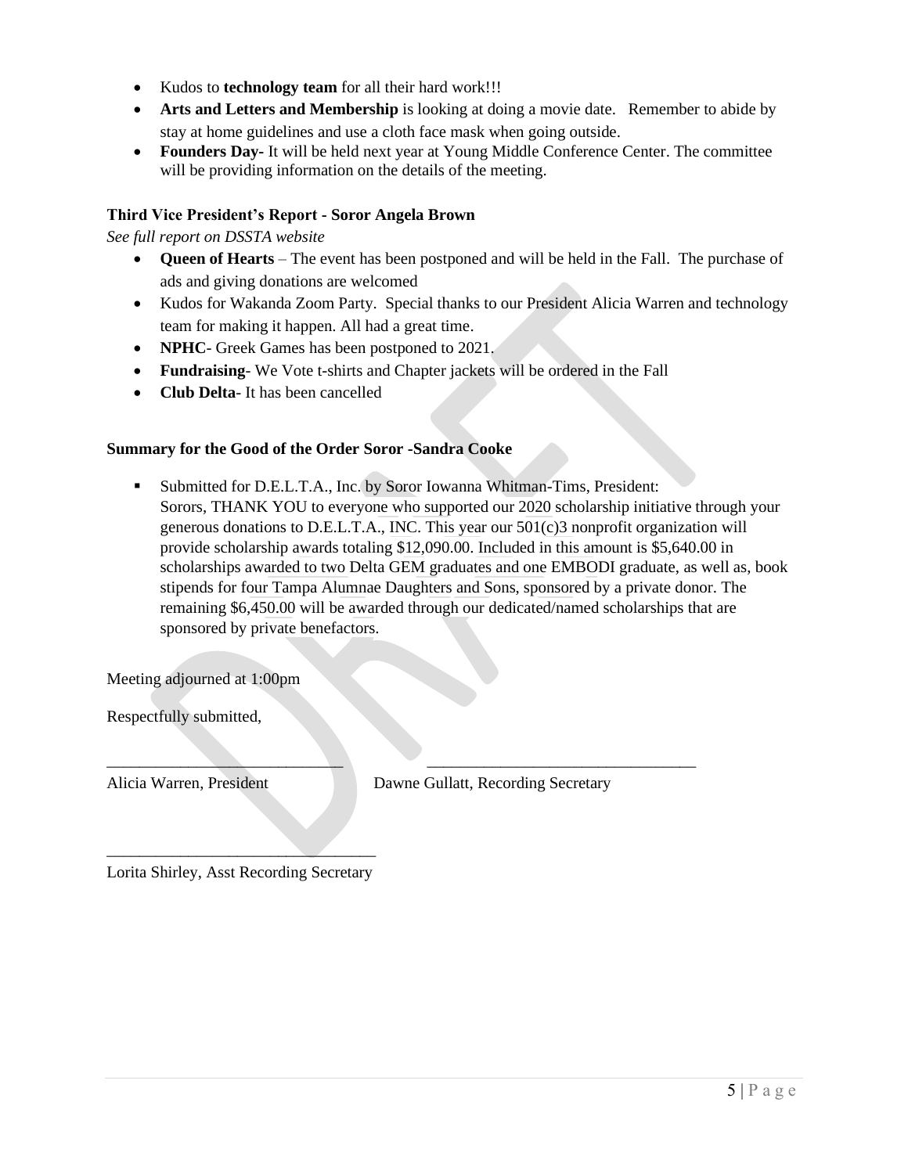- Kudos to **technology team** for all their hard work!!!
- **Arts and Letters and Membership** is looking at doing a movie date. Remember to abide by stay at home guidelines and use a cloth face mask when going outside.
- **Founders Day-** It will be held next year at Young Middle Conference Center. The committee will be providing information on the details of the meeting.

## **Third Vice President's Report - Soror Angela Brown**

*See full report on DSSTA website*

- **Queen of Hearts** The event has been postponed and will be held in the Fall. The purchase of ads and giving donations are welcomed
- Kudos for Wakanda Zoom Party. Special thanks to our President Alicia Warren and technology team for making it happen. All had a great time.
- **NPHC** Greek Games has been postponed to 2021.
- **Fundraising** We Vote t-shirts and Chapter jackets will be ordered in the Fall

\_\_\_\_\_\_\_\_\_\_\_\_\_\_\_\_\_\_\_\_\_\_\_\_\_\_\_\_\_ \_\_\_\_\_\_\_\_\_\_\_\_\_\_\_\_\_\_\_\_\_\_\_\_\_\_\_\_\_\_\_\_\_

• **Club Delta**- It has been cancelled

## **Summary for the Good of the Order Soror -Sandra Cooke**

Submitted for D.E.L.T.A., Inc. by Soror Iowanna Whitman-Tims, President: Sorors, THANK YOU to everyone who supported our 2020 scholarship initiative through your generous donations to D.E.L.T.A., INC. This year our 501(c)3 nonprofit organization will provide scholarship awards totaling \$12,090.00. Included in this amount is \$5,640.00 in scholarships awarded to two Delta GEM graduates and one EMBODI graduate, as well as, book stipends for four Tampa Alumnae Daughters and Sons, sponsored by a private donor. The remaining \$6,450.00 will be awarded through our dedicated/named scholarships that are sponsored by private benefactors.

Meeting adjourned at 1:00pm

Respectfully submitted,

Alicia Warren, President Dawne Gullatt, Recording Secretary

 $\overline{\phantom{a}}$  , where  $\overline{\phantom{a}}$  , where  $\overline{\phantom{a}}$  , where  $\overline{\phantom{a}}$ Lorita Shirley, Asst Recording Secretary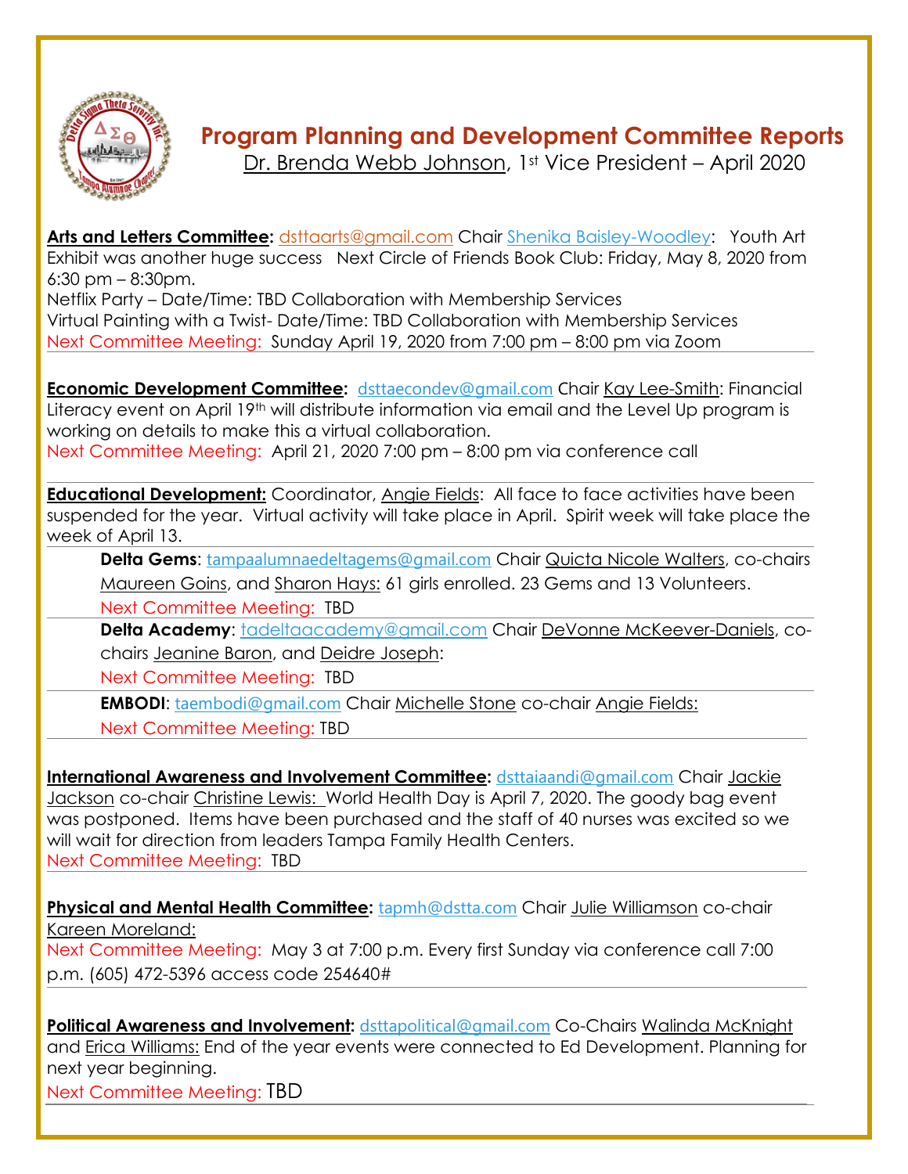

## **Program Planning and Development Committee Reports**

[Dr. Brenda Webb Johnson,](mailto:firstvp@dstta.com) 1st Vice President – April 2020

**[Arts and Letters Committee:](https://members.dstonline.org/National-Area#arts)** [dsttaarts@gmail.com](mailto:dsttaarts@gmail.com) Chair [Shenika Baisley-](mailto:sbaisley33@gmail.com)Woodley: Youth Art Exhibit was another huge success Next Circle of Friends Book Club: Friday, May 8, 2020 from 6:30 pm – 8:30pm.

Netflix Party – Date/Time: TBD Collaboration with Membership Services Virtual Painting with a Twist- Date/Time: TBD Collaboration with Membership Services Next Committee Meeting: Sunday April 19, 2020 from 7:00 pm – 8:00 pm via Zoom

**[Economic Development Committee:](http://deltasigmatheta.org/economic.html)** [dsttaecondev@gmail.com](mailto:dsttaecondev@gmail.com) Chair [Kay Lee-Smith:](mailto:klee2345@msn.com) Financial Literacy event on April 19<sup>th</sup> will distribute information via email and the Level Up program is working on details to make this a virtual collaboration. Next Committee Meeting: April 21, 2020 7:00 pm – 8:00 pm via conference call

**[Educational Development:](https://www.deltasigmatheta.org/educational.html)** Coordinator, [Angie Fields:](mailto:angie.l.fields@gmail.com) All face to face activities have been suspended for the year. Virtual activity will take place in April. Spirit week will take place the week of April 13.

**Delta Gems:** [tampaalumnaedeltagems@gmail.com](mailto:tampaalumnaedeltagems@gmail.com) Chair [Quicta Nicole Walters,](mailto:tampaalumnaedeltagems@gmail.com) co-chairs [Maureen Goins,](mailto:maureengoins@yahoo.com) and [Sharon Hays:](mailto:semple8@hotmail.com) 61 girls enrolled. 23 Gems and 13 Volunteers.

Next Committee Meeting: TBD

**Delta Academy:** [tadeltaacademy@gmail.com](mailto:tadeltaacademy@gmail.com) Chair [DeVonne McKeever-Daniels,](mailto:devonnemc9@gmail.com) cochairs [Jeanine Baron,](mailto:jeaninebaron@yahoo.com) and Deidre [Joseph:](mailto:djoseph173@aol.com)

Next Committee Meeting: TBD

**EMBODI**: [taembodi@gmail.com](mailto:taembodi@gmail.com) Chair [Michelle Stone](mailto:famurat1990@aol.com) co-chair [Angie Fields:](mailto:angie.l.fields@gmail.com)

Next Committee Meeting: TBD

**[International Awareness and Involvement Committee:](https://www.deltasigmatheta.org/international.html)** [dsttaiaandi@gmail.com](mailto:dsttaiaandi@gmail.com) Chair [Jackie](mailto:msj626@aol.com)  [Jackson](mailto:msj626@aol.com) co-chair [Christine Lewis:](mailto:cj2lewis@yahoo.com) World Health Day is April 7, 2020. The goody bag event was postponed. Items have been purchased and the staff of 40 nurses was excited so we will wait for direction from leaders Tampa Family Health Centers. Next Committee Meeting: TBD

**[Physical and Mental Health Committee:](http://deltasigmatheta.org/health.html)** [tapmh@dstta.com](mailto:tapmh@dstta.com) Chair [Julie Williamson](mailto:juliewilliamson2003@icloud.com) co-chair [Kareen Moreland:](mailto:kareenw_nylife@yahoo.com) Next Committee Meeting: May 3 at 7:00 p.m. Every first Sunday via conference call 7:00 p.m. (605) 472-5396 access code 254640#

**[Political Awareness and Involvement:](mailto:Political%20Awareness%20and%20Involvement)** [dsttapolitical@gmail.com](mailto:dsttapolitical@gmail.com) Co-Chairs [Walinda McKnight](mailto:walindamckgr@msn.com) and Erica Williams: End of the year events were connected to Ed Development. Planning for next year beginning.

Next Committee Meeting: TBD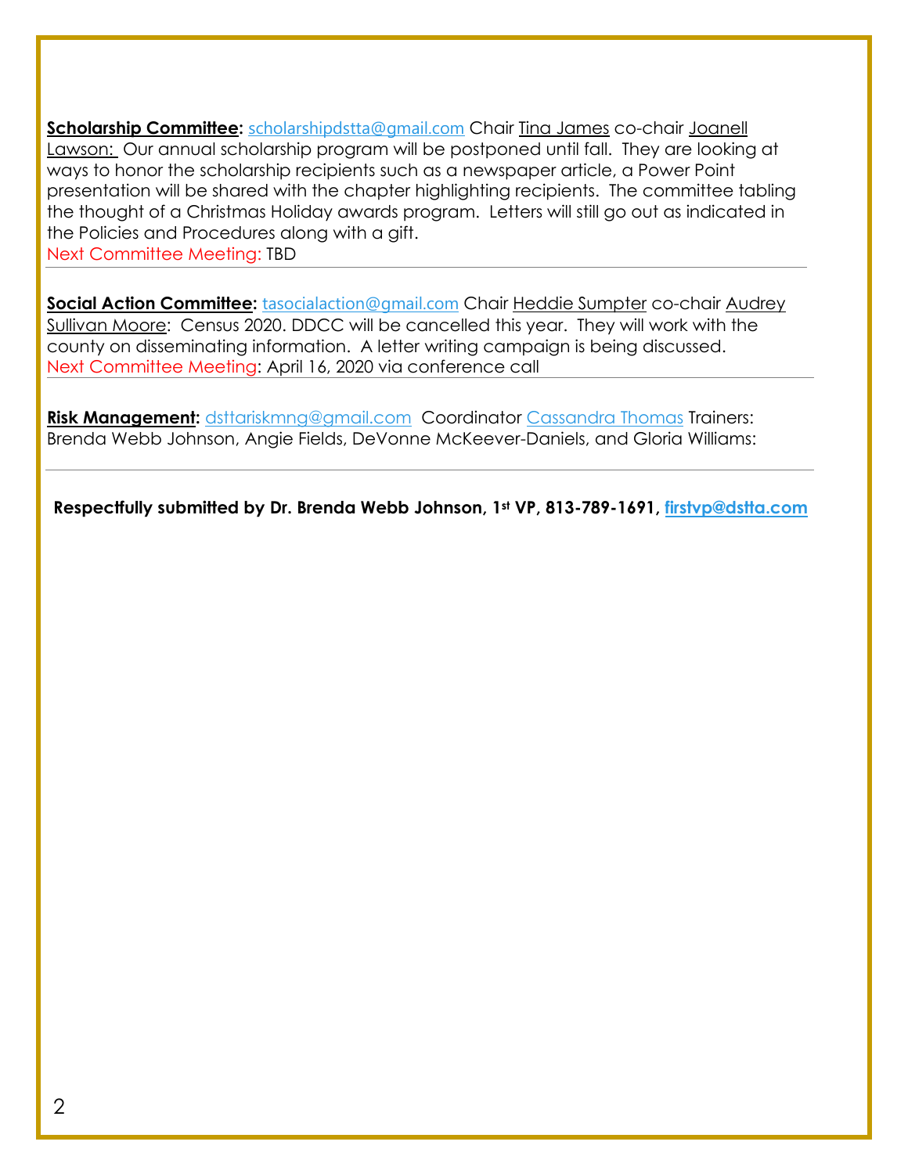**[Scholarship Committee:](https://members.dstonline.org/National-Area#scholar)** [scholarshipdstta@gmail.com](mailto:scholarshipdstta@gmail.com) Chair [Tina James](mailto:tee_jay10@hotmail.com) co-chair [Joanell](mailto:jazdst10@msn.com)  [Lawson:](mailto:jazdst10@msn.com) Our annual scholarship program will be postponed until fall. They are looking at ways to honor the scholarship recipients such as a newspaper article, a Power Point presentation will be shared with the chapter highlighting recipients. The committee tabling the thought of a Christmas Holiday awards program. Letters will still go out as indicated in the Policies and Procedures along with a gift.

Next Committee Meeting: TBD

**[Social Action Committee:](hhttps://members.dstonline.org/National-Area#social)** [tasocialaction@gmail.com](mailto:tasocialaction@gmail.com) Chair [Heddie Sumpter](mailto:hmshollywd1@gmail.com) co-chair Audrey [Sullivan Moore:](mailto:mammamooreasm@gmail.com) Census 2020. DDCC will be cancelled this year. They will work with the county on disseminating information. A letter writing campaign is being discussed. Next Committee Meeting: April 16, 2020 via conference call

**[Risk Management:](https://members.dstonline.org/getmedia/b3270cc4-04eb-4af4-8717-e876aa303f2e/Risk-Management-Manual-September-2017_Amended.pdf)** [dsttariskmng@gmail.com](mailto:dsttariskmng@gmail.com) Coordinator [Cassandra Thomas](mailto:bbzephyr01@aol.com) Trainers: Brenda Webb Johnson, Angie Fields, DeVonne McKeever-Daniels, and Gloria Williams:

**Respectfully submitted by Dr. Brenda Webb Johnson, 1st VP, 813-789-1691, [firstvp@dstta.com](mailto:firstvp@dstta.com)**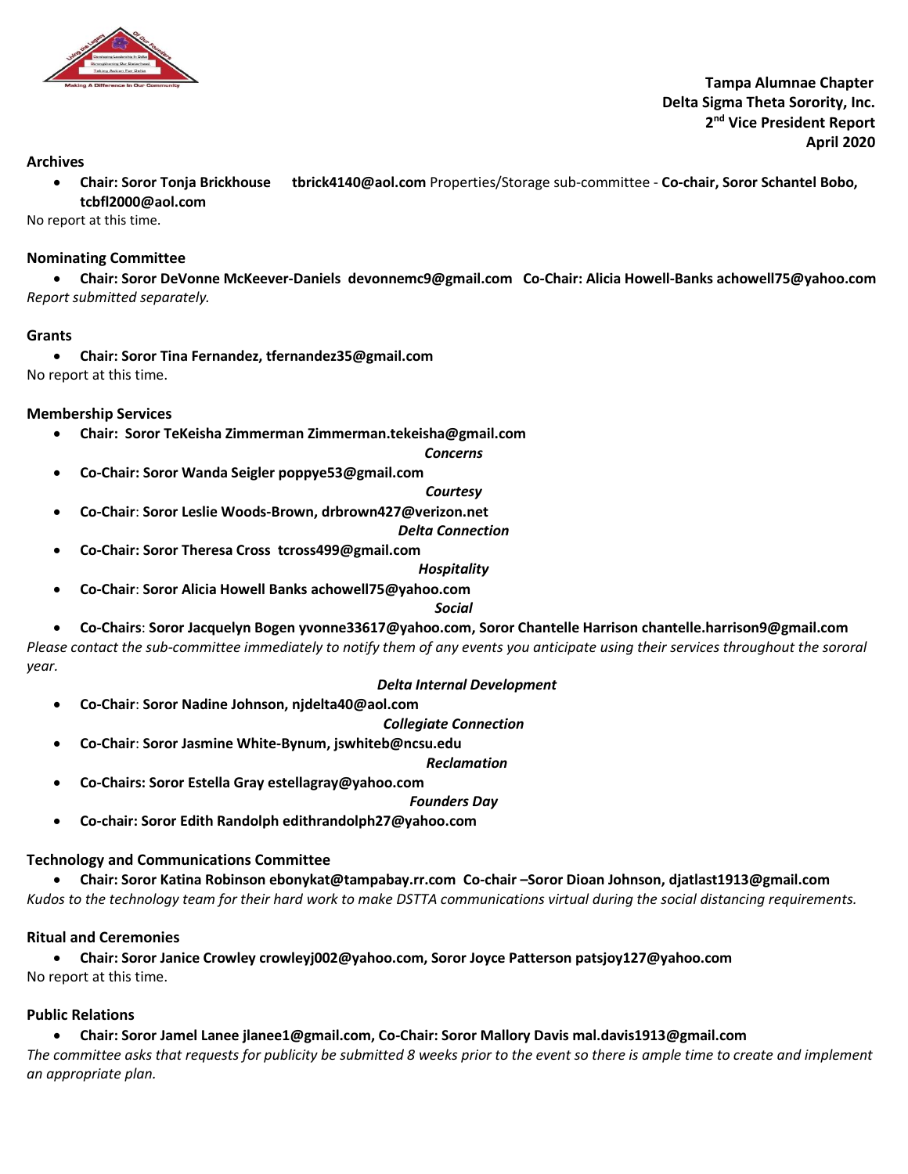

 **Tampa Alumnae Chapter Delta Sigma Theta Sorority, Inc. 2 nd Vice President Report April 2020**

#### **Archives**

• **Chair: Soror Tonja Brickhouse tbrick4140@aol.com** Properties/Storage sub-committee - **Co-chair, Soror Schantel Bobo, tcbfl2000@aol.com**

No report at this time.

#### **Nominating Committee**

• **Chair: Soror DeVonne McKeever-Daniels devonnemc9@gmail.com Co-Chair: Alicia Howell-Banks achowell75@yahoo.com** *Report submitted separately.* 

#### **Grants**

• **Chair: Soror Tina Fernandez[, tfernandez35@gmail.com](mailto:tfernandez35@gmail.com)** No report at this time.

#### **Membership Services**

• **Chair: Soror TeKeisha Zimmerman Zimmerman.tekeisha@gmail.com**

*Concerns*

• **Co-Chair: Soror Wanda Seigler poppye53@gmail.com**

#### *Courtesy*

• **Co-Chair**: **Soror Leslie Woods-Brown, drbrown427@verizon.net**

#### *Delta Connection*

• **Co-Chair: Soror Theresa Cross tcross499@gmail.com**

#### *Hospitality*

• **Co-Chair**: **Soror Alicia Howell Banks achowell75@yahoo.com**

#### *Social*

• **Co-Chairs**: **Soror Jacquelyn Bogen yvonne33617@yahoo.com, Soror Chantelle Harrison chantelle.harrison9@gmail.com**

*Please contact the sub-committee immediately to notify them of any events you anticipate using their services throughout the sororal year.* 

## *Delta Internal Development*

• **Co-Chair**: **Soror Nadine Johnson, njdelta40@aol.com**

*Collegiate Connection*

• **Co-Chair**: **Soror Jasmine White-Bynum, jswhiteb@ncsu.edu**

*Reclamation*

• **Co-Chairs: Soror Estella Gray estellagray@yahoo.com** 

*Founders Day*

• **Co-chair: Soror Edith Randolph edithrandolph27@yahoo.com**

#### **Technology and Communications Committee**

• **Chair: Soror Katina Robinson ebonykat@tampabay.rr.com Co-chair –Soror Dioan Johnson, djatlast1913@gmail.com** *Kudos to the technology team for their hard work to make DSTTA communications virtual during the social distancing requirements.* 

#### **Ritual and Ceremonies**

• **Chair: Soror Janice Crowley crowleyj002@yahoo.com, Soror Joyce Patterson patsjoy127@yahoo.com** No report at this time.

#### **Public Relations**

• **Chair: Soror Jamel Lanee jlanee1@gmail.com, Co-Chair: Soror Mallory Davis mal.davis1913@gmail.com** *The committee asks that requests for publicity be submitted 8 weeks prior to the event so there is ample time to create and implement an appropriate plan.*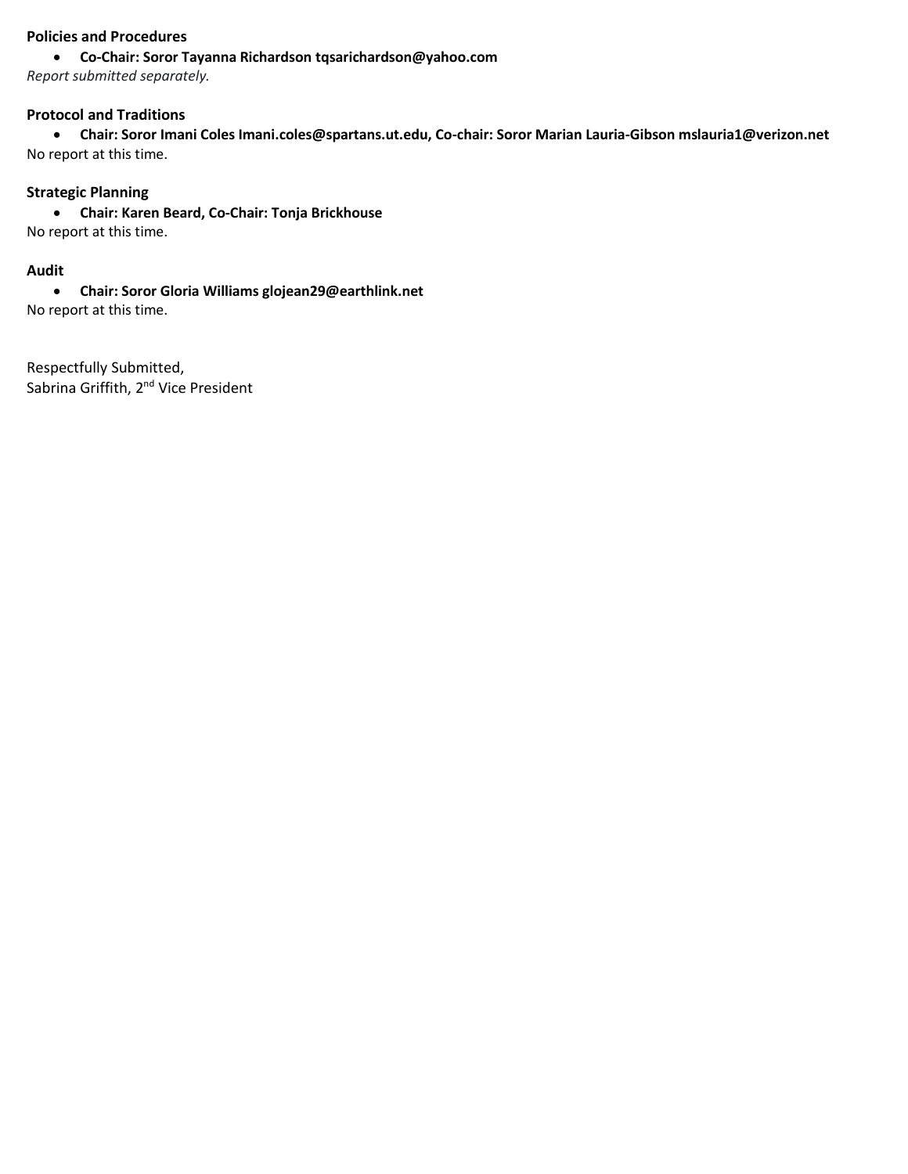## **Policies and Procedures**

#### • **Co-Chair: Soror Tayanna Richardson tqsarichardson@yahoo.com**

*Report submitted separately.*

## **Protocol and Traditions**

• **Chair: Soror Imani Coles Imani.coles@spartans.ut.edu, Co-chair: Soror Marian Lauria-Gibson mslauria1@verizon.net** No report at this time.

## **Strategic Planning**

• **Chair: Karen Beard, Co-Chair: Tonja Brickhouse** No report at this time.

## **Audit**

• **Chair: Soror Gloria Williams glojean29@earthlink.net** No report at this time.

Respectfully Submitted, Sabrina Griffith, 2<sup>nd</sup> Vice President